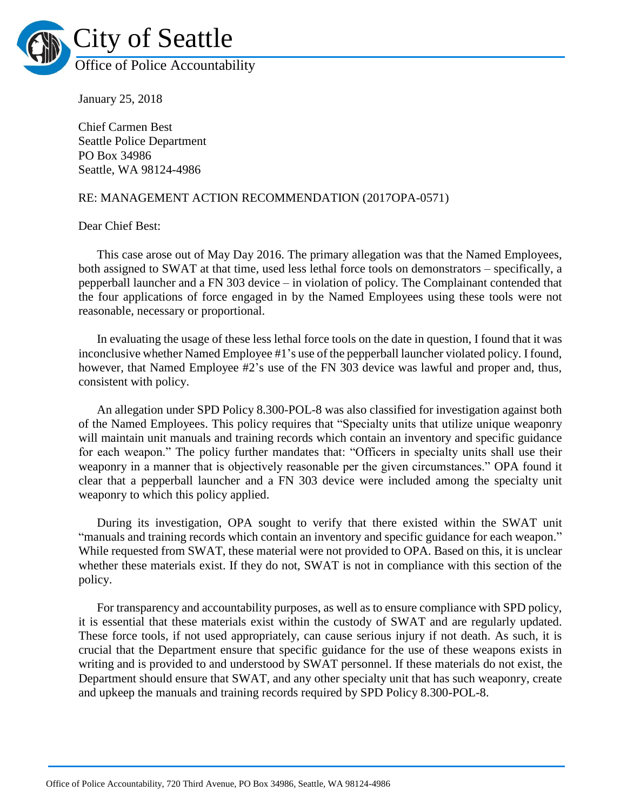

January 25, 2018

Chief Carmen Best Seattle Police Department PO Box 34986 Seattle, WA 98124-4986

## RE: MANAGEMENT ACTION RECOMMENDATION (2017OPA-0571)

Dear Chief Best:

This case arose out of May Day 2016. The primary allegation was that the Named Employees, both assigned to SWAT at that time, used less lethal force tools on demonstrators – specifically, a pepperball launcher and a FN 303 device – in violation of policy. The Complainant contended that the four applications of force engaged in by the Named Employees using these tools were not reasonable, necessary or proportional.

In evaluating the usage of these less lethal force tools on the date in question, I found that it was inconclusive whether Named Employee #1's use of the pepperball launcher violated policy. I found, however, that Named Employee #2's use of the FN 303 device was lawful and proper and, thus, consistent with policy.

An allegation under SPD Policy 8.300-POL-8 was also classified for investigation against both of the Named Employees. This policy requires that "Specialty units that utilize unique weaponry will maintain unit manuals and training records which contain an inventory and specific guidance for each weapon." The policy further mandates that: "Officers in specialty units shall use their weaponry in a manner that is objectively reasonable per the given circumstances." OPA found it clear that a pepperball launcher and a FN 303 device were included among the specialty unit weaponry to which this policy applied.

During its investigation, OPA sought to verify that there existed within the SWAT unit "manuals and training records which contain an inventory and specific guidance for each weapon." While requested from SWAT, these material were not provided to OPA. Based on this, it is unclear whether these materials exist. If they do not, SWAT is not in compliance with this section of the policy.

For transparency and accountability purposes, as well as to ensure compliance with SPD policy, it is essential that these materials exist within the custody of SWAT and are regularly updated. These force tools, if not used appropriately, can cause serious injury if not death. As such, it is crucial that the Department ensure that specific guidance for the use of these weapons exists in writing and is provided to and understood by SWAT personnel. If these materials do not exist, the Department should ensure that SWAT, and any other specialty unit that has such weaponry, create and upkeep the manuals and training records required by SPD Policy 8.300-POL-8.